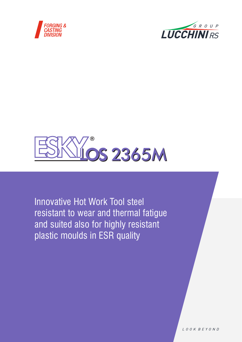





Innovative Hot Work Tool steel resistant to wear and thermal fatigue and suited also for highly resistant plastic moulds in ESR quality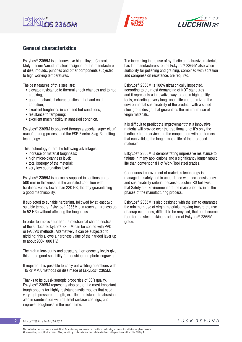





### General characteristics

EskyLos® 2365M is an innovative high alloyed Chromium-Molybdenum-Vanadium steel designed for the manufacture of dies, moulds, punches and other components subjected to high working temperatures.

The best features of this steel are:

- elevated resistance to thermal shock changes and to hot cracking;
- good mechanical characteristics in hot and cold condition;
- excellent toughness in cold and hot conditions;
- resistance to tempering;
- excellent machinability in annealed condition.

EskyLos® 2365M is obtained through a special 'super clean' manufacturing process and the ESR Electro-Slag-Remelting technology.

This technology offers the following advantages:

- increase of material toughness;
- high micro-cleanness level:
- total isotropy of the material;
- very low segregation level.

EskyLos® 2365M is normally supplied in sections up to 500 mm in thickness, in the annealed condition with hardness values lower than 220 HB, thereby guaranteeing a good machinability.

If subjected to suitable hardening, followed by at least two suitable tempers, EskyLos® 2365M can reach a hardness up to 52 HRc without affecting the toughness.

In order to improve further the mechanical characteristics of the surface, EskyLos® 2365M can be coated with PVD or PA/CVD methods. Alternatively it can be subjected to nitriding; this allows a hardness value of the nitrided layer up to about 900-1000 HV.

The high micro-purity and structural homogeneity levels give this grade good suitability for polishing and photo-engraving.

If required, it is possible to carry out welding operations with TIG or MMA methods on dies made of EskyLos® 2365M.

Thanks to its quasi-isotropic properties of ESR quality, EskyLos® 2365M represents also one of the most important tough options for highly resistant plastic moulds that need very high pressure strength, excellent resistance to abrasion, also in combination with different surface coatings, and improved toughness in the mean time.

The increasing in the use of synthetic and abrasive materials has led manufacturers to use EskyLos® 2365M also when suitability for polishing and graining, combined with abrasion and compression resistance, are required.

EskyLos® 2365M is 100% ultrasonically inspected, according to the most demanding of NDT standards and it represents a innovative way to obtain high quality tools, collecting a very long mould life and optimizing the environmental sustainability of the product, with a suited steel grade design, that guarantees the minimum use of virgin materials.

It is difficult to predict the improvement that a innovative material will provide over the traditional one: it's only the feedback from service and the cooperation with customers that can validate the longer mould life of the proposed materials.

EskyLos® 2365M is demonstrating impressive resistance to fatigue in many applications and a significantly longer mould life than conventional Hot Work Tool steel grades.

Continuous improvement of materials technology is managed in safety and in accordance with eco-consistency and sustainability criteria, because Lucchini RS believes that Safety and Environment are the main priorities in all the phases of the manufacturing process.

EskyLos® 2365M is also designed with the aim to guarantee the minimum use of virgin materials, moving toward the use of scrap categories, difficult to be recycled, that can became food for the steel making production of EskyLos® 2365M grade.

```
2 EskyLos® 2365 M / Rev.01 / 06.2020
```
The content of this brochure is intended for information only and cannot be considered as binding in connection with the supply of material. All information, except for the cases of law, are strictly confidential and can only be disclosed with permission of Lucchini RS S.p.A.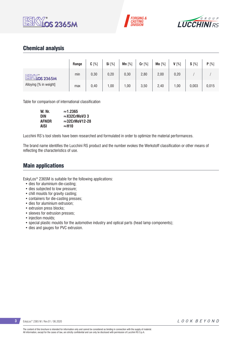





## Chemical analysis

|                                 | Range | $C[\%]$ | Si [%] | Mn $[%]$ | $Cr$ [%] | Mo [%] | $V[\%]$ | $S[\%]$ | P[%]  |
|---------------------------------|-------|---------|--------|----------|----------|--------|---------|---------|-------|
| <b>ESK</b><br><u>líos 2365M</u> | min   | 0,30    | 0,20   | 0,30     | 2,80     | 2,00   | 0,20    |         |       |
| Alloying [% in weight]          | max   | 0,40    | ,00    | ,00      | 3,50     | 2,40   | 1,00    | 0,003   | 0,015 |

Table for comparison of international classification

| W. Nr.       | $\approx$ 1.2365       |
|--------------|------------------------|
| <b>DIN</b>   | $\approx$ X32CrMoV33   |
| <b>AFNOR</b> | $\approx$ 32CrMoV12-28 |
| AISI         | $\approx$ H10          |

Lucchini RS's tool steels have been researched and formulated in order to optimize the material performances.

The brand name identifies the Lucchini RS product and the number evokes the Werkstoff classification or other means of reflecting the characteristics of use.

### Main applications

EskyLos® 2365M is suitable for the following applications:

- dies for aluminium die-casting;
- dies subjected to low pressure;
- chill moulds for gravity casting;
- containers for die-casting presses;
- dies for aluminium extrusion;
- extrusion press blocks;
- sleeves for extrusion presses;
- injection moulds;
- special plastic moulds for the automotive industry and optical parts (head lamp components);
- dies and gauges for PVC extrusion.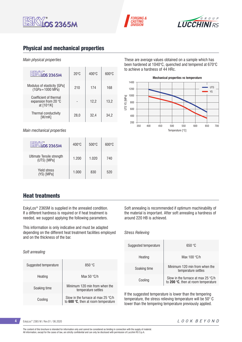





## Physical and mechanical properties

#### *Main physical properties*

| <b>OS 2365M</b>                                                        | $20^{\circ}$ C | $400^{\circ}$ C | $600^{\circ}$ C |
|------------------------------------------------------------------------|----------------|-----------------|-----------------|
| Modulus of elasticity [GPa]<br>$(1GPa = 1000 MPa)$                     | 210            | 174             | 168             |
| Coefficient of thermal<br>expansion from 20 $\degree$ C<br>at [10-6/K] |                | 12,2            | 13,2            |
| Thermal conductivity<br>IW/mK1                                         | 28,0           | 32,4            | 34.2            |

*Main mechanical properties*

| <b>OS 2365M</b>                          | $400^{\circ}$ C | $500^{\circ}$ C | $600\degree C$ |
|------------------------------------------|-----------------|-----------------|----------------|
| Ultimate Tensile strength<br>(UTS) [MPa] | 1.200           | 1.020           | 740            |
| <b>Yield stress</b><br>(YS) [MPa]        | 1.000           | 830             | 520            |

These are average values obtained on a sample which has been hardened at 1040°C, quenched and tempered at 670°C to achieve a hardness of 44 HRc.



### Heat treatments

EskyLos® 2365M is supplied in the annealed condition. If a different hardness is required or if heat treatment is needed, we suggest applying the following parameters.

This information is only indicative and must be adapted depending on the different heat treatment facilities employed and on the thickness of the bar.

*Soft annealing*

| Suggested temperature | 850 °C                                                                             |
|-----------------------|------------------------------------------------------------------------------------|
| Heating               | Max 50 $\degree$ C/h                                                               |
| Soaking time          | Minimum 120 min from when the<br>temperature settles                               |
| Cooling               | Slow in the furnace at max 25 $\degree$ C/h<br>to 600 °C, then at room temperature |

Soft annealing is recommended if optimum machinability of the material is important. After soft annealing a hardness of around 220 HB is achieved.

#### *Stress Relieving*

| Suggested temperature | 650 °C                                                                    |
|-----------------------|---------------------------------------------------------------------------|
| Heating               | Max $100 °C/h$                                                            |
| Soaking time          | Minimum 120 min from when the<br>temperature settles                      |
| Cooling               | Slow in the furnace at max 25 °C/h<br>to 200 °C, then at room temperature |

If the suggested temperature is lower than the tempering temperature, the stress relieving temperature will be 50° C lower than the tempering temperature previously applied.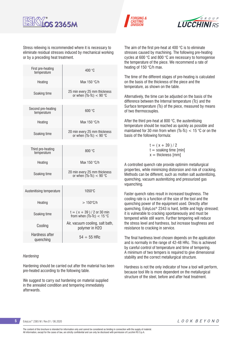





Stress relieving is recommended where it is necessary to eliminate residual stresses induced by mechanical working or by a preceding heat treatment.

| First pre-heating<br>temperature  | 400 °C                                                      |
|-----------------------------------|-------------------------------------------------------------|
| Heating                           | Max 150 °C/h                                                |
| Soaking time                      | 25 min every 25 mm thickness<br>or when $(Ts-TC) < 90$ °C   |
|                                   |                                                             |
| Second pre-heating<br>temperature | 600 °C                                                      |
| Heating                           | Max 150 °C/h                                                |
| Soaking time                      | 20 min every 25 mm thickness<br>or when $(Ts-TC) < 90$ °C   |
|                                   |                                                             |
| Third pre-heating<br>temperature  | 800 °C                                                      |
| Heating                           | Max 150 °C/h                                                |
| Soaking time                      | 20 min every 25 mm thickness<br>or when $(Ts-TC) < 90$ °C   |
|                                   |                                                             |
| Austenitising temperature         | 1050°C                                                      |
| Heating                           | $>150^{\circ}$ C/h                                          |
| Soaking time                      | $t = (x + 39) / 2$ or 30 min<br>from when $(Ts-Tc) < 15$ °C |
| Cooling                           | Air, vacuum cooling, salt bath,<br>polymer in H2O           |
| Hardness after<br>quenching       | $54 \div 55$ HRc                                            |
|                                   |                                                             |

#### *Hardening*

Hardening should be carried out after the material has been pre-heated according to the following table.

We suggest to carry out hardening on material supplied in the annealed condition and tempering immediately afterwards.

The aim of the first pre-heat at 400 °C is to eliminate stresses caused by machining. The following pre-heating cycles at 600 °C and 800 °C are necessary to homogenise the temperature of the piece. We recommend a rate of heating of 150 °C/h max.

The time of the different stages of pre-heating is calculated on the basis of the thickness of the piece and the temperature, as shown on the table.

Alternatively, the time can be adjusted on the basis of the difference between the Internal temperature (Tc) and the Surface temperature (Ts) of the piece, measured by means of two thermocouples.

After the third pre-heat at 800 °C, the austenitising temperature should be reached as quickly as possible and maintained for 30 min from when (Ts-Tc)  $<$  15 °C or on the basis of the following formula:

> $t = (x + 39)/2$  $t =$  soaking time [min]  $x =$  thickness [mm]

A controlled quench rate provide optimim metallurgical properties, while minimizing distorsion and risk of cracking. Methods can be different, such as molten salt austenitizing, quenching, vacuum austenitizing and pressurized gas vquenching.

Faster quench rates result in increased toughness. The cooling rate is a function of the size of the tool and the quenching power of the equipment used. Directly after quenching, EskyLos® 2343 is hard, brittle and higly stressed; it is vulnerable to cracking spontaneously and must be tempered while still warm. Further tempering will reduce the stress level and hardness, but increase toughness and resistance to cracking in service.

The final hardness level chosen depends on the application and is normally in the range of 42-48 HRc. This is achieved by careful control of temperature and time of tempering. A minimum of two tempers is required to give dimensional stability and the correct metallurgical structure.

Hardness is not the only indicator of how a tool will perform, because tool life is more dependent on the metallurgical structure of the steel, before and after heat treatment.

EskyLos® 2365 M / Rev.01 / 06.2020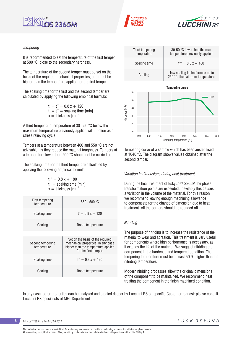





#### *Tempering*

It is recommended to set the temperature of the first temper at 580 °C, close to the secondary hardness.

The temperature of the second temper must be set on the basis of the required mechanical properties, and must be higher than the temperature applied for the first temper.

The soaking time for the first and the second temper are calculated by applying the following empirical formula:

> $t' = t'' = 0.8x + 120$  $t' = t'' =$  soaking time [min]  $x =$  thickness [mm]

A third temper at a temperature of 30 - 50 °C below the maximum temperature previously applied will function as a stress relieving cycle.

Tempers at a temperature between 400 and 550 °C are not advisable, as they reduce the material toughness. Tempers at a temperature lower than 200 °C should not be carried out.

The soaking time for the third temper are calculated by applying the following empirical formula:

> $t''' = 0.8 x + 180$  $t'' =$  soaking time [min]  $x =$  thickness [mm]

| First tempering<br>temperature  | $550 - 580$ °C                                                                                                                         |
|---------------------------------|----------------------------------------------------------------------------------------------------------------------------------------|
| Soaking time                    | $t' = 0.8x + 120$                                                                                                                      |
| Cooling                         | Room temperature                                                                                                                       |
|                                 |                                                                                                                                        |
| Second tempering<br>temperature | Set on the basis of the required<br>mechanical properties, in any case<br>higher than the temperature applied<br>for the first temper. |
| Soaking time                    | $t'' = 0.8x + 120$                                                                                                                     |
| Cooling                         | Room temperature                                                                                                                       |
|                                 |                                                                                                                                        |



Tempering curve of a sample which has been austenitised at 1040 °C. The diagram shows values obtained after the second temper.

#### *Variation in dimensions during heat treatment*

During the heat treatment of EskyLos® 2365M the phase transformation points are exceeded. Inevitably this causes a variation in the volume of the material. For this reason we recommend leaving enough machining allowance to compensate for the change of dimension due to heat treatment. All the corners should be rounded off.

#### *Nitriding*

The purpose of nitriding is to increase the resistance of the material to wear and abrasion. This treatment is very useful for components where high performance is necessary, as it extends the life of the material. We suggest nitriding the component in the hardened and tempered condition. The tempering temperature must be at least 50 °C higher than the nitriding temperature.

Modern nitriding processes allow the original dimensions of the component to be maintained. We recommend heat treating the component in the finish machined condition.

In any case, other properties can be analyzed and studied deeper by Lucchini RS on specific Customer request: please consult Lucchini RS specialists of MET Department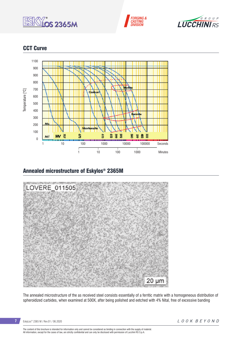





## CCT Curve



### Annealed microstructure of Eskylos® 2365M



The annealed microstructure of the as received steel consists essentially of a ferritic matrix with a homogeneous distribution of spheroidized carbides, when examined at 500X, after being polished and eetched with 4% Nital, free of excessive banding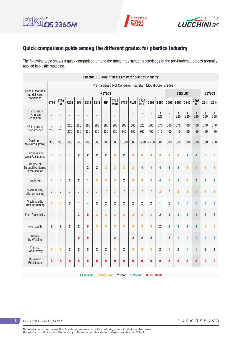





# Quick comparison guide among the different grades for plastics Industry

The following table shows a quick comparison among the most important characteristics of the pre-hardened grades normally applied in plastic moulding.

|                                                  |                                                         |                |                |                |                  | <b>Lucchini RS Mould steel Family for plastics Industry</b> |                |                    |                |                |                    |                |                |                |                |              |                |                |                |
|--------------------------------------------------|---------------------------------------------------------|----------------|----------------|----------------|------------------|-------------------------------------------------------------|----------------|--------------------|----------------|----------------|--------------------|----------------|----------------|----------------|----------------|--------------|----------------|----------------|----------------|
|                                                  | Pre-hardened Not Corrosion Resistant Mould Steel Grades |                |                |                |                  |                                                             |                |                    |                |                |                    |                |                |                |                |              |                |                |                |
| <b>Special features</b><br>and delivered         |                                                         |                |                |                |                  |                                                             | <b>KEYLOS</b>  |                    |                |                |                    |                |                | <b>ESKYLOS</b> |                |              |                | <b>BEYLOS</b>  |                |
| conditions                                       | 1730                                                    | 1730<br>M      | 7225           | <b>ON</b>      | 2312             | 2311                                                        | <b>UP</b>      | 2738<br><b>MSH</b> | 2738           | <b>PLUS</b>    | 2738<br><b>MHH</b> | 2002           | 6959           | 2002           | 6959           | 2340         | 2365<br>M      | 2711           | 2714           |
| HB in surface<br>in Annealed<br>condition        | T                                                       | $\sqrt{ }$     |                |                |                  | $\sqrt{\phantom{a}}$                                        | $\sqrt{ }$     | 1                  | 1              |                | $\prime$           |                | $\,<$<br>220   |                | $\,<$<br>220   | $\,<$<br>220 | $\,<$<br>220   | $\,<$<br>250   | $\,<$<br>250   |
| HB in surface<br>Pre-hardened                    | $\leq$<br>200                                           | $\leq$<br>210  | 220<br>270     | 280<br>330     | 280<br>330       | 280<br>330                                                  | 280<br>330     | 280<br>330         | 290<br>340     | 300<br>350     | 320<br>360         | 360<br>400     | 370<br>410     | 360<br>400     | 370<br>410     | 400<br>450   | 400<br>450     | 370<br>410     | 370<br>410     |
| Maximum<br>thickness [mm]                        | 300                                                     | 300            | 500            | 500            | 600              | 600                                                         | 800            | 800                | 1.000          | 800            | $1.200$ 1.200      |                | 500            | 500            | 500            | 500          | 500            | 500            | 700            |
| Hardness and<br><b>Wear Resistance</b>           | 1                                                       | 1              | 1              | $\overline{2}$ | $\overline{2}$   | $\overline{2}$                                              | $\overline{2}$ | 3                  | $\overline{2}$ | 3              | 3                  | 3              | 3              | 3              | 3              | 4            | 4              | 3              | 3              |
| Dearee of<br>Through Hardening<br>in the section | 1                                                       | 1              | 1              | 1              | $\boldsymbol{2}$ | $\boldsymbol{2}$                                            | 3              | 3                  | 3              | 3              | 4                  | 4              | 4              | 4              | 4              | 3            | 3              | 3              | 3              |
| Toughness                                        | 1                                                       | 1              | $\overline{2}$ | $\overline{2}$ | 1                | 3                                                           | 3              | 3                  | $\overline{2}$ | 3              | 3                  | 3              | 4              | 3              | 4              | 3            | $\overline{2}$ | 4              | 4              |
| Machinability<br>after Annealing                 | $\sqrt{2}$                                              | $\sqrt{2}$     |                | $\sqrt{2}$     | $\sqrt{2}$       | $\sqrt{\phantom{a}}$                                        | $\sqrt{2}$     | $\sqrt{2}$         | $\sqrt{2}$     | $\overline{1}$ | $\sqrt{2}$         | $\prime$       | 3              | $\prime$       | 3              | 3            | 3              | 3              | 3              |
| Machinability<br>after Hardening                 | 3                                                       | 3              | $\overline{2}$ | 1              | 4                | $\overline{2}$                                              | $\overline{2}$ | $\overline{2}$     | $\overline{2}$ | $\overline{2}$ | $\overline{2}$     | $\overline{2}$ | 1              | $\overline{2}$ | 1              | 1            | 1              | 1              | 1              |
| Etch-Grainability                                | 1                                                       | 1              | 1              | $\overline{2}$ | $\bf{0}$         | 3                                                           | 3              | 3                  | 3              | 3              | 3                  | 3              | $\overline{2}$ | 4              | 4              | 4            | 4              | $\overline{2}$ | 2              |
| Polishability                                    | $\overline{2}$                                          | $\overline{2}$ | $\overline{2}$ | $\overline{2}$ | $\bf{0}$         | 3                                                           | 3              | 3                  | 3              | 3              | 3                  | 3              | $\overline{2}$ | 4              | 4              | 4            | 4              | 3              | 3              |
| Repair<br>by Welding                             | 1                                                       | 1              | 1              | 0              | $\bf{0}$         | $\mathbf{1}$                                                | 1              | $\overline{2}$     | $\mathbf{1}$   | $\overline{2}$ | $\overline{2}$     | $\overline{2}$ | 1              | $\overline{2}$ | 1              | 1            | 1              | 1              | 1              |
| Thermal<br>Conductivity                          | 3                                                       | 3              | $\overline{2}$ | $\overline{2}$ | $\overline{2}$   | $\overline{2}$                                              | $\overline{2}$ | 3                  | $\overline{2}$ | 3              | 3                  | 3              | $\overline{2}$ | 3              | $\overline{2}$ | 1            | 1              | $\overline{2}$ | $\overline{2}$ |
| Corrosion<br>Resistance                          | $\bf{0}$                                                | 0              | 0              | 0              | $\bf{0}$         | $\bf{0}$                                                    | $\bf{0}$       | 0                  | 0              | 0              | 0                  | 0              | 0              | 0              | $\bf{0}$       | $\bf{0}$     | $\bf{0}$       | 0              | 0              |

**4 Excellent 3 Very Good 2 Good 1 Normal 0 Unsuitable**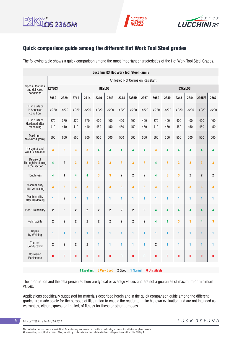





## Quick comparison guide among the different Hot Work Tool Steel grades

The following table shows a quick comparison among the most important characteristics of the Hot Work Tool Steel Grades.

|                                                  |                                         |                |                |                         |                |                         |                | <b>Lucchini RS Hot Work tool Steel Family</b> |                         |                |            |              |                |                         |                |
|--------------------------------------------------|-----------------------------------------|----------------|----------------|-------------------------|----------------|-------------------------|----------------|-----------------------------------------------|-------------------------|----------------|------------|--------------|----------------|-------------------------|----------------|
|                                                  | <b>Annealed Not Corrosion Resistant</b> |                |                |                         |                |                         |                |                                               |                         |                |            |              |                |                         |                |
| Special features<br>and delivered                | <b>KEYLOS</b>                           |                |                |                         | <b>BEYLOS</b>  |                         |                |                                               |                         | <b>ESKYLOS</b> |            |              |                |                         |                |
| conditions                                       | 6959                                    | 2329           | 2711           | 2714                    | 2340           | 2343                    | 2344           | 2365M                                         | 2367                    | 6959           | 2340       | 2343         | 2344           | 2365M                   | 2367           |
| HB in surface<br>In Annealed<br>condition        | $<$ 220                                 | < 220          | < 220          | $<$ 220                 | $<$ 220        | < 220                   | < 220          | < 220                                         | $<$ 220                 | < 220          | < 220      | $<$ 220      | < 220          | < 220                   | < 220          |
| HB in surface<br>Hardened after<br>machining     | 370<br>410                              | 370<br>410     | 370<br>410     | 370<br>410              | 400<br>450     | 400<br>450              | 400<br>450     | 400<br>450                                    | 400<br>450              | 370<br>410     | 400<br>450 | 400<br>450   | 400<br>450     | 400<br>450              | 400<br>450     |
| Maximum<br>thickness [mm]                        | 500                                     | 600            | 500            | 700                     | 500            | 500                     | 500            | 500                                           | 500                     | 500            | 500        | 500          | 500            | 500                     | 500            |
| Hardness and<br><b>Wear Resistance</b>           | 3                                       | 3              | 3              | 3                       | 4              | 4                       | 4              | 4                                             | 4                       | 3              | 4          | 4            | 4              | 4                       | 4              |
| Degree of<br>Through Hardening<br>in the section | 4                                       | $\overline{2}$ | 3              | 3                       | 3              | 3                       | 3              | 3                                             | 3                       | 4              | 3          | 3            | 3              | $\overline{\mathbf{3}}$ | 3              |
| Toughness                                        | 4                                       | $\mathbf{1}$   | 4              | 4                       | 3              | $\overline{\mathbf{3}}$ | $\overline{2}$ | $\overline{2}$                                | $\overline{\mathbf{2}}$ | 4              | 3          | 3            | $\overline{2}$ | $\overline{2}$          | $\overline{2}$ |
| Machinability<br>after Annealing                 | 3                                       | 3              | 3              | 3                       | 3              | 3                       | 3              | 3                                             | 3                       | 3              | 3          | 3            | 3              | $\overline{\mathbf{3}}$ | 3              |
| Machinability<br>after Hardening                 | 1                                       | $\overline{2}$ | 1              | 1                       | 1              | 1                       | 1              | 1                                             | 1                       | 1              | 1          | $\mathbf{1}$ | 1              | 1                       | 1              |
| Etch-Grainability                                | $\overline{2}$                          | $\overline{2}$ | $\overline{2}$ | $\overline{\mathbf{2}}$ | $\overline{2}$ | $\overline{2}$          | $\overline{2}$ | $\overline{2}$                                | $\overline{\mathbf{c}}$ | 4              | 4          | 4            | 4              | 4                       | 4              |
| Polishability                                    | $\overline{2}$                          | $\overline{2}$ | $\overline{2}$ | $\overline{2}$          | $\overline{2}$ | $\overline{2}$          | $\overline{2}$ | $\overline{2}$                                | $\overline{2}$          | 4              | 4          | 3            | 3              | 4                       | 3              |
| Repair<br>by Welding                             | 1                                       | 1              | 1              | 1                       | 1              | 1                       | 1              | 1                                             | 1                       | 1              | 1          | 1            | 1              | 1                       | 1              |
| <b>Thermal</b><br>Conductivity                   | $\overline{2}$                          | $\overline{2}$ | $\overline{2}$ | $\overline{2}$          | 1              | 1                       | 1              | 1                                             | 1                       | $\overline{2}$ | 1          | 1            | 1              | 1                       | 1              |
| Corrosion<br>Resistance                          | $\mathbf{0}$                            | 0              | $\pmb{0}$      | O                       | $\bf{0}$       | 0                       | $\bf{0}$       | 0                                             | $\pmb{0}$               | 0              | $\bf{0}$   | $\bf{0}$     | $\bf{0}$       | $\bf{0}$                | $\bf{0}$       |
|                                                  |                                         |                |                |                         |                |                         |                |                                               |                         |                |            |              |                |                         |                |

**4 Excellent 3 Very Good 2 Good 1 Normal 0 Unsuitable** 

The information and the data presented here are typical or average values and are not a guarantee of maximum or minimum values.

Applications specifically suggested for materials described herein and in the quick comparison guide among the different grades are made solely for the purpose of illustration to enable the reader to make his own evaluation and are not intended as warranties, either express or implied, of fitness for these or other purposes.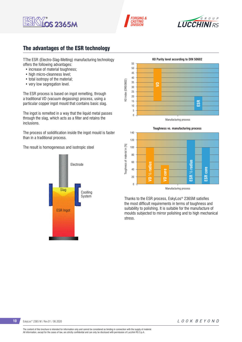





## The advantages of the ESR technology

TThe ESR (Electro-Slag-Melting) manufacturing technology offers the following advantages:

- increase of material toughness:
- high micro-cleanness level:
- total isotropy of the material;
- very low segregation level.

The ESR process is based on ingot remelting, through a traditional VD (vacuum degassing) process, using a particular copper ingot mould that contains basic slag.

The ingot is remelted in a way that the liquid metal passes through the slag, which acts as a filter and retains the inclusions.

The process of solidification inside the ingot mould is faster than in a traditional process.

The result is homogeneous and isotropic steel







Thanks to the ESR process, EskyLos® 2365M satisfies the most difficult requirements in terms of toughness and suitability to polishing. It is suitable for the manufacture of moulds subjected to mirror polishing and to high mechanical stress.

10 EskyLos<sup>®</sup> 2365 M / Rev.01 / 06.2020

LOOK BEYOND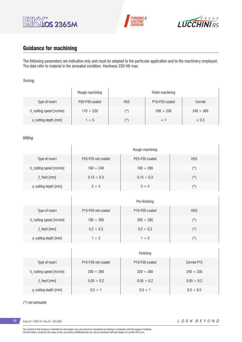





# Guidance for machining

 $\overline{1}$ 

The following parameters are indicative only and must be adapted to the particular application and to the machinery employed. The data refer to material in the annealed condition. Hardness 220 HB max.

#### *Turning*

|                                      | Rough machining |            | Finish machining                        |                |
|--------------------------------------|-----------------|------------|-----------------------------------------|----------------|
| Type of insert                       | P20-P40 coated  | <b>HSS</b> | P <sub>10</sub> -P <sub>20</sub> coated | Cermet         |
| V <sub>c</sub> cutting speed [m/min] | $170 \div 220$  | $(\star)$  | $200 \div 250$                          | $240 \div 300$ |
| a, cutting depth [mm]                | $1 \div 5$      | $(\star)$  |                                         | < 0.5          |

#### *Milling*

|                                      | Rough machining                             |                                         |            |  |  |  |  |  |  |
|--------------------------------------|---------------------------------------------|-----------------------------------------|------------|--|--|--|--|--|--|
| Type of insert                       | P <sub>25</sub> -P <sub>35</sub> not coated | P <sub>25</sub> -P <sub>35</sub> coated | <b>HSS</b> |  |  |  |  |  |  |
| V <sub>c</sub> cutting speed [m/min] | $160 \div 240$                              | $180 \div 280$                          | $(\star)$  |  |  |  |  |  |  |
| $fz$ feed [mm]                       | $0,15 \div 0,3$                             | $0.15 \div 0.3$                         | $(\star)$  |  |  |  |  |  |  |
| a, cutting depth [mm]                | $2 \div 4$                                  | $2 \div 4$                              | $(\star)$  |  |  |  |  |  |  |

|                         | Pre-finishing                               |                                         |               |  |  |  |
|-------------------------|---------------------------------------------|-----------------------------------------|---------------|--|--|--|
| Type of insert          | P <sub>10</sub> -P <sub>20</sub> not coated | P <sub>10</sub> -P <sub>20</sub> coated | <b>HSS</b>    |  |  |  |
| V cutting speed [m/min] | $180 \div 260$                              | $200 \div 280$                          | $(\texttt{'}$ |  |  |  |
| $f$ , feed [mm]         | $0,2 \div 0,3$                              | $0,2 \div 0,3$                          | $(\star)$     |  |  |  |
| a, cutting depth [mm]   | $1 \div 2$                                  | $1 \div 2$                              | (*)           |  |  |  |

|                                      | Finishing                                   |                                         |                 |  |  |  |
|--------------------------------------|---------------------------------------------|-----------------------------------------|-----------------|--|--|--|
| Type of insert                       | P <sub>10</sub> -P <sub>20</sub> not coated | P <sub>10</sub> -P <sub>20</sub> coated | Cermet P15      |  |  |  |
| V <sub>c</sub> cutting speed [m/min] | $200 \div 280$                              | $220 \div 300$                          | $240 \div 330$  |  |  |  |
| $f$ , feed [mm]                      | $0,05 \div 0,2$                             | $0,05 \div 0,2$                         | $0,05 \div 0,2$ |  |  |  |
| a, cutting depth [mm]                | $0.5 \div 1$                                | $0.5 \div 1$                            | $0.3 \div 0.5$  |  |  |  |

#### *(\*) not advisable*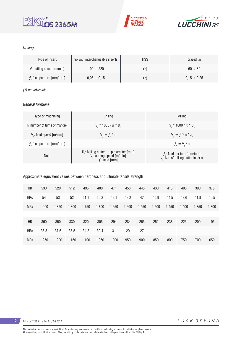





#### *Drilling*

| Type of insert               | tip with interchangeable inserts | <b>HSS</b> | brazed tip       |
|------------------------------|----------------------------------|------------|------------------|
| V cutting speed [m/min]      | $190 \div 220$                   | (*)        | $60 \div 80$     |
| $fz$ feed per turn [mm/turn] | $0.05 \div 0.15$                 | $(\star)$  | $0.15 \div 0.25$ |

#### *(\*) not advisable*

#### *General formulae*

| Type of machining             | Drilling                                                                                                 | Milling                                                                           |
|-------------------------------|----------------------------------------------------------------------------------------------------------|-----------------------------------------------------------------------------------|
| n: number of turns of mandrel | $V_r * 1000 / \pi * D_r$                                                                                 | $V_r * 1000 / \pi * D_c$                                                          |
| $V_f$ : feed speed [m/min]    | $V_{f} = f_{7}$ * n                                                                                      | $V_{f} = f_{i} * n * z_{n}$                                                       |
| $fz$ feed per turn [mm/turn]  | -                                                                                                        | $f_{n} = V_{f} / n$                                                               |
| <b>Note</b>                   | $D_c$ : Milling cutter or tip diameter [mm]<br>V <sub>c</sub> : cutting speed [m/min]<br>$f$ : feed [mm] | $f_n$ : feed per turn [mm/turn]<br>z <sub>a</sub> : No. of milling cutter inserts |

#### Approximate equivalent values between hardness and ultimate tensile strength

| HB         | 530   | 520   | 512   | 495   | 480   | 471   | 458   | 445   | 430   | 415   | 405   | 390   | 375   |
|------------|-------|-------|-------|-------|-------|-------|-------|-------|-------|-------|-------|-------|-------|
| <b>HRc</b> | 54    | 53    | 52    | 51,1  | 50,2  | 49,1  | 48,2  | 47    | 45,9  | 44,5  | 43,6  | 41,8  | 40,5  |
| <b>MPa</b> | 1.900 | 1.850 | .800  | 1.750 | 1.700 | 1.650 | 1.600 | 1.550 | 1.500 | 1.450 | 1.400 | 1.350 | 1.300 |
|            |       |       |       |       |       |       |       |       |       |       |       |       |       |
| HB         | 360   | 350   | 330   | 320   | 305   | 294   | 284   | 265   | 252   | 238   | 225   | 209   | 195   |
| <b>HRc</b> | 38,8  | 37,6  | 35,5  | 34,2  | 32,4  | 31    | 29    | 27    | $- -$ | --    | --    | $- -$ | --    |
| <b>MPa</b> | 1.250 | 1.200 | 1.150 | 1.100 | 1.050 | 1.000 | 950   | 900   | 850   | 800   | 750   | 700   | 650   |